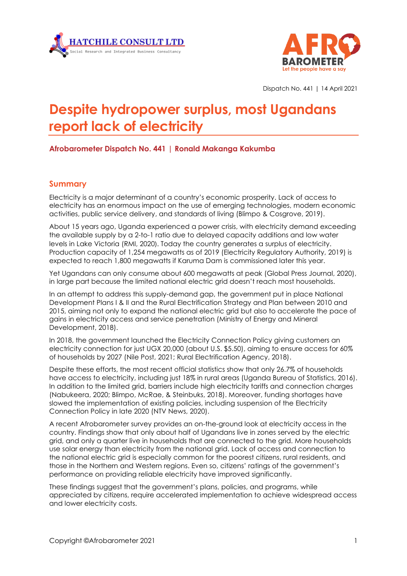



Dispatch No. 441 | 14 April 2021

# **Despite hydropower surplus, most Ugandans report lack of electricity**

## **Afrobarometer Dispatch No. 441 | Ronald Makanga Kakumba**

### **Summary**

Electricity is a major determinant of a country's economic prosperity. Lack of access to electricity has an enormous impact on the use of emerging technologies, modern economic activities, public service delivery, and standards of living (Blimpo & Cosgrove, 2019).

About 15 years ago, Uganda experienced a power crisis, with electricity demand exceeding the available supply by a 2-to-1 ratio due to delayed capacity additions and low water levels in Lake Victoria (RMI, 2020). Today the country generates a surplus of electricity. Production capacity of 1,254 megawatts as of 2019 (Electricity Regulatory Authority, 2019) is expected to reach 1,800 megawatts if Karuma Dam is commissioned later this year.

Yet Ugandans can only consume about 600 megawatts at peak (Global Press Journal, 2020), in large part because the limited national electric grid doesn't reach most households.

In an attempt to address this supply-demand gap, the government put in place National Development Plans I & II and the Rural Electrification Strategy and Plan between 2010 and 2015, aiming not only to expand the national electric grid but also to accelerate the pace of gains in electricity access and service penetration (Ministry of Energy and Mineral Development, 2018).

In 2018, the government launched the Electricity Connection Policy giving customers an electricity connection for just UGX 20,000 (about U.S. \$5.50), aiming to ensure access for 60% of households by 2027 (Nile Post, 2021; Rural Electrification Agency, 2018).

Despite these efforts, the most recent official statistics show that only 26.7% of households have access to electricity, including just 18% in rural areas (Uganda Bureau of Statistics, 2016). In addition to the limited grid, barriers include high electricity tariffs and connection charges (Nabukeera, 2020; Blimpo, McRae, & Steinbuks, 2018). Moreover, funding shortages have slowed the implementation of existing policies, including suspension of the Electricity Connection Policy in late 2020 (NTV News, 2020).

A recent Afrobarometer survey provides an on-the-ground look at electricity access in the country. Findings show that only about half of Ugandans live in zones served by the electric grid, and only a quarter live in households that are connected to the grid. More households use solar energy than electricity from the national grid. Lack of access and connection to the national electric grid is especially common for the poorest citizens, rural residents, and those in the Northern and Western regions. Even so, citizens' ratings of the government's performance on providing reliable electricity have improved significantly.

These findings suggest that the government's plans, policies, and programs, while appreciated by citizens, require accelerated implementation to achieve widespread access and lower electricity costs.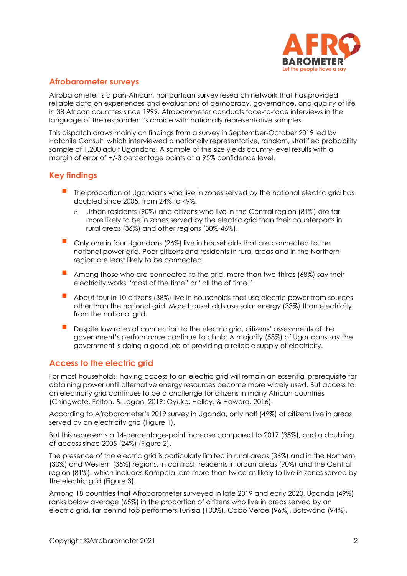

### **Afrobarometer surveys**

Afrobarometer is a pan-African, nonpartisan survey research network that has provided reliable data on experiences and evaluations of democracy, governance, and quality of life in 38 African countries since 1999. Afrobarometer conducts face-to-face interviews in the language of the respondent's choice with nationally representative samples.

This dispatch draws mainly on findings from a survey in September-October 2019 led by Hatchile Consult, which interviewed a nationally representative, random, stratified probability sample of 1,200 adult Ugandans. A sample of this size yields country-level results with a margin of error of +/-3 percentage points at a 95% confidence level.

### **Key findings**

- The proportion of Ugandans who live in zones served by the national electric grid has doubled since 2005, from 24% to 49%.
	- o Urban residents (90%) and citizens who live in the Central region (81%) are far more likely to be in zones served by the electric grid than their counterparts in rural areas (36%) and other regions (30%-46%).
- Only one in four Ugandans (26%) live in households that are connected to the national power grid. Poor citizens and residents in rural areas and in the Northern region are least likely to be connected.
- Among those who are connected to the grid, more than two-thirds (68%) say their electricity works "most of the time" or "all the of time."
- About four in 10 citizens (38%) live in households that use electric power from sources other than the national grid. More households use solar energy (33%) than electricity from the national grid.
- Despite low rates of connection to the electric grid, citizens' assessments of the government's performance continue to climb: A majority (58%) of Ugandans say the government is doing a good job of providing a reliable supply of electricity.

### **Access to the electric grid**

For most households, having access to an electric grid will remain an essential prerequisite for obtaining power until alternative energy resources become more widely used. But access to an electricity grid continues to be a challenge for citizens in many African countries (Chingwete, Felton, & Logan, 2019; Oyuke, Halley, & Howard, 2016).

According to Afrobarometer's 2019 survey in Uganda, only half (49%) of citizens live in areas served by an electricity grid (Figure 1).

But this represents a 14-percentage-point increase compared to 2017 (35%), and a doubling of access since 2005 (24%) (Figure 2).

The presence of the electric grid is particularly limited in rural areas (36%) and in the Northern (30%) and Western (35%) regions. In contrast, residents in urban areas (90%) and the Central region (81%), which includes Kampala, are more than twice as likely to live in zones served by the electric grid (Figure 3).

Among 18 countries that Afrobarometer surveyed in late 2019 and early 2020, Uganda (49%) ranks below average (65%) in the proportion of citizens who live in areas served by an electric grid, far behind top performers Tunisia (100%), Cabo Verde (96%), Botswana (94%),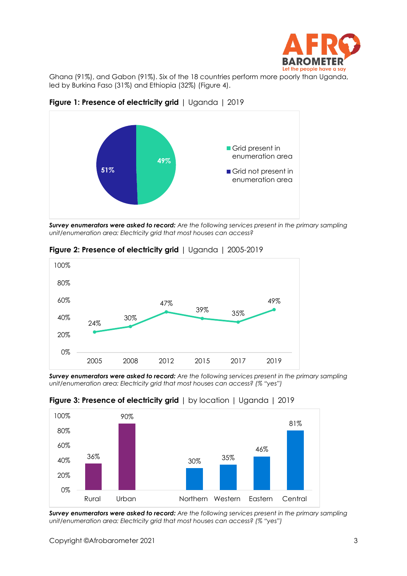

Ghana (91%), and Gabon (91%). Six of the 18 countries perform more poorly than Uganda, led by Burkina Faso (31%) and Ethiopia (32%) (Figure 4).



**Figure 1: Presence of electricity grid** | Uganda | 2019

*Survey enumerators were asked to record: Are the following services present in the primary sampling unit/enumeration area: Electricity grid that most houses can access?*



**Figure 2: Presence of electricity grid** | Uganda | 2005-2019

*Survey enumerators were asked to record: Are the following services present in the primary sampling unit/enumeration area: Electricity grid that most houses can access? (% "yes")*



## **Figure 3: Presence of electricity grid** | by location | Uganda | 2019

*Survey enumerators were asked to record: Are the following services present in the primary sampling unit/enumeration area: Electricity grid that most houses can access? (% "yes")*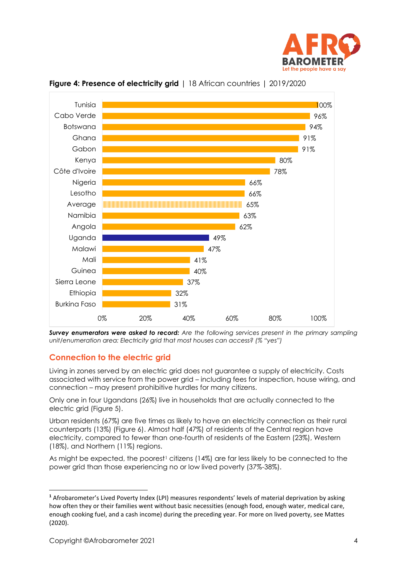



**Figure 4: Presence of electricity grid** | 18 African countries | 2019/2020

*Survey enumerators were asked to record: Are the following services present in the primary sampling unit/enumeration area: Electricity grid that most houses can access? (% "yes")*

## **Connection to the electric grid**

Living in zones served by an electric grid does not guarantee a supply of electricity. Costs associated with service from the power grid – including fees for inspection, house wiring, and connection – may present prohibitive hurdles for many citizens.

Only one in four Ugandans (26%) live in households that are actually connected to the electric grid (Figure 5).

Urban residents (67%) are five times as likely to have an electricity connection as their rural counterparts (13%) (Figure 6). Almost half (47%) of residents of the Central region have electricity, compared to fewer than one-fourth of residents of the Eastern (23%), Western (18%), and Northern (11%) regions.

As might be expected, the poorest<sup>1</sup> citizens (14%) are far less likely to be connected to the power grid than those experiencing no or low lived poverty (37%-38%).

**<sup>1</sup>** Afrobarometer's Lived Poverty Index (LPI) measures respondents' levels of material deprivation by asking how often they or their families went without basic necessities (enough food, enough water, medical care, enough cooking fuel, and a cash income) during the preceding year. For more on lived poverty, see Mattes (2020).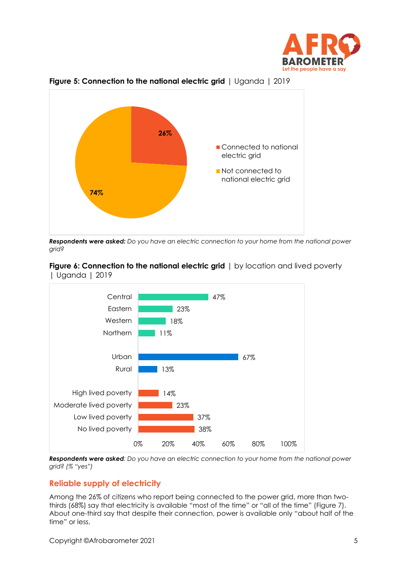



**Figure 5: Connection to the national electric grid** | Uganda | 2019

*Respondents were asked: Do you have an electric connection to your home from the national power grid?*





*Respondents were asked: Do you have an electric connection to your home from the national power grid? (% "yes")* 

## **Reliable supply of electricity**

Among the 26% of citizens who report being connected to the power grid, more than twothirds (68%) say that electricity is available "most of the time" or "all of the time" (Figure 7). About one-third say that despite their connection, power is available only "about half of the time" or less.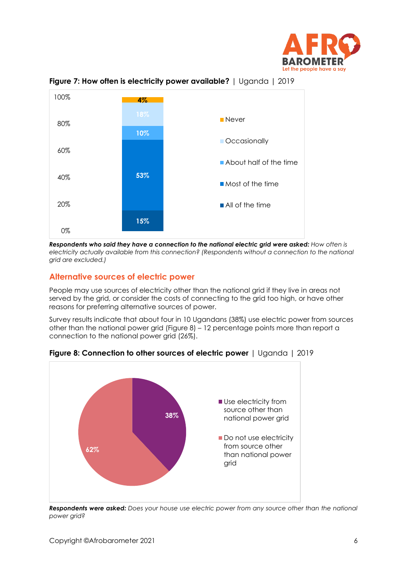



**Figure 7: How often is electricity power available?** | Uganda | 2019

*Respondents who said they have a connection to the national electric grid were asked: How often is electricity actually available from this connection? (Respondents without a connection to the national grid are excluded.)*

#### **Alternative sources of electric power**

People may use sources of electricity other than the national grid if they live in areas not served by the grid, or consider the costs of connecting to the grid too high, or have other reasons for preferring alternative sources of power.

Survey results indicate that about four in 10 Ugandans (38%) use electric power from sources other than the national power grid (Figure 8) – 12 percentage points more than report a connection to the national power grid (26%).



**Figure 8: Connection to other sources of electric power** | Uganda | 2019

*Respondents were asked: Does your house use electric power from any source other than the national power grid?*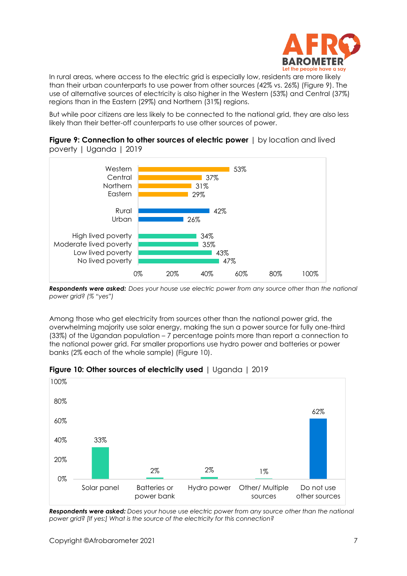

In rural areas, where access to the electric grid is especially low, residents are more likely than their urban counterparts to use power from other sources (42% vs. 26%) (Figure 9). The use of alternative sources of electricity is also higher in the Western (53%) and Central (37%) regions than in the Eastern (29%) and Northern (31%) regions.

But while poor citizens are less likely to be connected to the national grid, they are also less likely than their better-off counterparts to use other sources of power.



**Figure 9: Connection to other sources of electric power** | by location and lived poverty | Uganda | 2019

*Respondents were asked: Does your house use electric power from any source other than the national power grid? (% "yes")*

Among those who get electricity from sources other than the national power grid, the overwhelming majority use solar energy, making the sun a power source for fully one-third (33%) of the Ugandan population – 7 percentage points more than report a connection to the national power grid. Far smaller proportions use hydro power and batteries or power banks (2% each of the whole sample) (Figure 10).



**Figure 10: Other sources of electricity used** | Uganda | 2019

*Respondents were asked: Does your house use electric power from any source other than the national power grid? [If yes:] What is the source of the electricity for this connection?*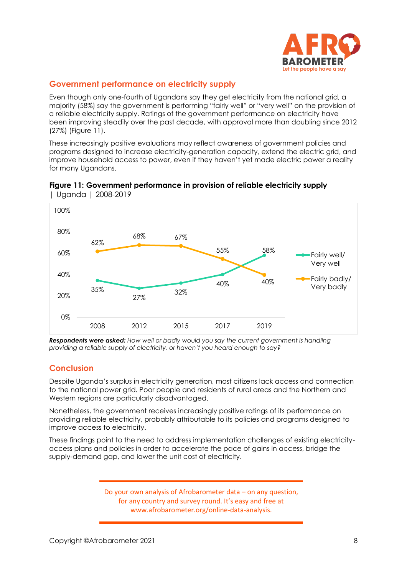

## **Government performance on electricity supply**

Even though only one-fourth of Ugandans say they get electricity from the national grid, a majority (58%) say the government is performing "fairly well" or "very well" on the provision of a reliable electricity supply. Ratings of the government performance on electricity have been improving steadily over the past decade, with approval more than doubling since 2012 (27%) (Figure 11).

These increasingly positive evaluations may reflect awareness of government policies and programs designed to increase electricity-generation capacity, extend the electric grid, and improve household access to power, even if they haven't yet made electric power a reality for many Ugandans.



**Figure 11: Government performance in provision of reliable electricity supply**  | Uganda | 2008-2019

*Respondents were asked: How well or badly would you say the current government is handling providing a reliable supply of electricity, or haven't you heard enough to say?* 

# **Conclusion**

Despite Uganda's surplus in electricity generation, most citizens lack access and connection to the national power grid. Poor people and residents of rural areas and the Northern and Western regions are particularly disadvantaged.

Nonetheless, the government receives increasingly positive ratings of its performance on providing reliable electricity, probably attributable to its policies and programs designed to improve access to electricity.

These findings point to the need to address implementation challenges of existing electricityaccess plans and policies in order to accelerate the pace of gains in access, bridge the supply-demand gap, and lower the unit cost of electricity.

> Do your own analysis of Afrobarometer data – on any question, for any country and survey round. It's easy and free at www.afrobarometer.org/online-data-analysis.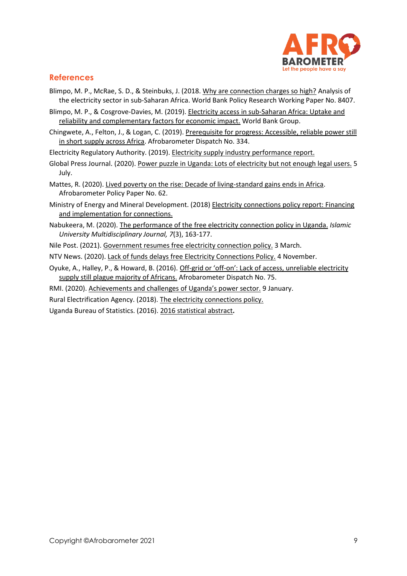

## **References**

- Blimpo, M. P., McRae, S. D., & Steinbuks, J. (2018[. Why are connection charges so high?](https://www.sdmcrae.com/publication/why-are-connection-charges-so-high/) Analysis of the electricity sector in sub-Saharan Africa. World Bank Policy Research Working Paper No. 8407.
- Blimpo, M. P., & Cosgrove-Davies, M. (2019). [Electricity access in sub-Saharan Africa: Uptake and](https://www.google.com/url?sa=t&rct=j&q=&esrc=s&source=web&cd=&cad=rja&uact=8&ved=2ahUKEwi707vzne_vAhWYURUIHbxyAYUQFjAMegQILhAD&url=https%3A%2F%2Fdocuments.worldbank.org%2Fen%2Fpublication%2Fdocuments-reports%2Fdocumentdetail%2F837061552325989473%2Felectricity-access-in-sub-saharan-africa-uptake-reliability-and-complementary-factors-for-economic-impact&usg=AOvVaw2DMVFNZeAstO4abfZtrDO8)  [reliability and complementary factors for economic impact.](https://www.google.com/url?sa=t&rct=j&q=&esrc=s&source=web&cd=&cad=rja&uact=8&ved=2ahUKEwi707vzne_vAhWYURUIHbxyAYUQFjAMegQILhAD&url=https%3A%2F%2Fdocuments.worldbank.org%2Fen%2Fpublication%2Fdocuments-reports%2Fdocumentdetail%2F837061552325989473%2Felectricity-access-in-sub-saharan-africa-uptake-reliability-and-complementary-factors-for-economic-impact&usg=AOvVaw2DMVFNZeAstO4abfZtrDO8) World Bank Group.
- Chingwete, A., Felton, J., & Logan, C. (2019)[. Prerequisite for progress: Accessible, reliable power still](https://afrobarometer.org/sites/default/files/publications/Dispatches/ab_r7_dipstachno334_pap11_reliable_electricity_still_out_of_reach_for_most_africans.pdf)  [in short supply across Africa.](https://afrobarometer.org/sites/default/files/publications/Dispatches/ab_r7_dipstachno334_pap11_reliable_electricity_still_out_of_reach_for_most_africans.pdf) Afrobarometer Dispatch No. 334.

Electricity Regulatory Authority. (2019). [Electricity supply industry performance report.](https://www.era.go.ug/index.php/resource-centre/publications/reports)

- Global Press Journal. (2020). [Power puzzle in Uganda: Lots of electricity but not enough legal users.](https://globalpressjournal.com/africa/uganda/uganda-plenty-electricity-households-remain-powerless/) 5 July.
- Mattes, R. (2020). [Lived poverty on the rise: Decade of living-standard gains ends in Africa.](http://afrobarometer.org/publications/pp62-lived-poverty-rise-decade-living-standard-gains-ends-africa) Afrobarometer Policy Paper No. 62.
- Ministry of Energy and Mineral Development. (2018) [Electricity connections policy report: Financing](https://www.google.com/url?sa=t&rct=j&q=&esrc=s&source=web&cd=&cad=rja&uact=8&ved=2ahUKEwj19rilzZ3vAhVS5eAKHekeBNEQFjAAegQIAhAD&url=http%3A%2F%2Frea.or.ug%2Fwp-content%2Fuploads%2F2019%2F12%2FElectricity-Connections-Policy.pdf&usg=AOvVaw1uhkxkVkoXL-qUncesMaED)  [and implementation for connections.](https://www.google.com/url?sa=t&rct=j&q=&esrc=s&source=web&cd=&cad=rja&uact=8&ved=2ahUKEwj19rilzZ3vAhVS5eAKHekeBNEQFjAAegQIAhAD&url=http%3A%2F%2Frea.or.ug%2Fwp-content%2Fuploads%2F2019%2F12%2FElectricity-Connections-Policy.pdf&usg=AOvVaw1uhkxkVkoXL-qUncesMaED)
- Nabukeera, M. (2020). [The performance of the free electricity connection policy in Uganda.](https://www.iuiu.ac.ug/journaladmin/iumj/ArticleFiles/4835.pdf) *Islamic University Multidisciplinary Journal, 7*(3), 163-177.
- Nile Post. (2021). [Government resumes free electricity connection policy.](https://nilepost.co.ug/2021/03/03/government-resumes-free-electricity-connection-policy/) 3 March.

NTV News. (2020)[. Lack of funds delays free Electricity Connections Policy.](https://www.ntv.co.ug/ug/news/national/lack-of-funds-delays-free-electricity-connections-policy-2731194) 4 November.

- Oyuke, A., Halley, P., & Howard, B. (2016). Off-grid or 'off-[on': Lack of access, unreliable electricity](https://www.google.com/url?sa=t&rct=j&q=&esrc=s&source=web&cd=&cad=rja&uact=8&ved=2ahUKEwjSst_9mZ7vAhUBJBoKHeqHBs4QFjAAegQIAhAD&url=https%3A%2F%2Fafrobarometer.org%2Fpublications%2Fad75-unreliable-electricity-supply-still-plague-majority-of-africans&usg=AOvVaw1ildH7dg5amgvdKn9KHExL)  [supply still plague majority of Africans.](https://www.google.com/url?sa=t&rct=j&q=&esrc=s&source=web&cd=&cad=rja&uact=8&ved=2ahUKEwjSst_9mZ7vAhUBJBoKHeqHBs4QFjAAegQIAhAD&url=https%3A%2F%2Fafrobarometer.org%2Fpublications%2Fad75-unreliable-electricity-supply-still-plague-majority-of-africans&usg=AOvVaw1ildH7dg5amgvdKn9KHExL) Afrobarometer Dispatch No. 75.
- RMI. (2020). [Achievements and challenges of Uganda's power sector.](https://rmi.org/achievements-and-challenges-of-ugandas-power-sector/) 9 January.
- Rural Electrification Agency. (2018). [The electricity connections policy.](http://www.rea.or.ug/index.php/ecp-policy/)

Uganda Bureau of Statistics. (2016). [2016 statistical abstract](http://library.health.go.ug/sites/default/files/resources/UBOS%20Statistical%20Abstract%202016%20.pdf)**.**